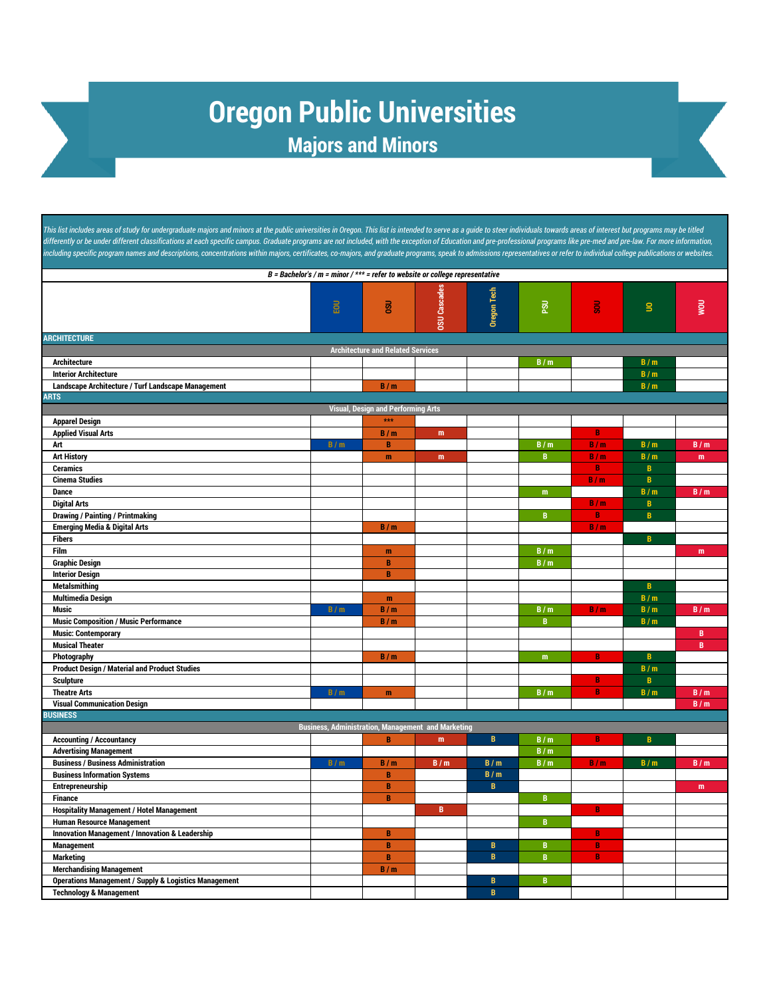## **Oregon Public Universities Majors and Minors**

This list includes areas of study for undergraduate majors and minors at the public universities in Oregon. This list is intended to serve as a guide to steer individuals towards areas of interest but programs may be title differently or be under different classifications at each specific campus. Graduate programs are not included, with the exception of Education and pre-professional programs like pre-med and pre-law. For more information, ncluding specific program names and descriptions, concentrations within majors, certificates, co-majors, and graduate programs, speak to admissions representatives or refer to individual college publications or websites.

| B = Bachelor's / $m$ = minor / *** = refer to website or college representative                                                                                                                                                                                                                                                                                                                                                                                                                                                                                                                                                                                                                                                                                                                                                                                                                                                                                                                                                                                                                                                                                           |                   |                                                                                                                                             |                                                                                       |                                                                      |                                                                                                                                                           |                                                                                                              |                                                                                                                                                                |                                                                         |
|---------------------------------------------------------------------------------------------------------------------------------------------------------------------------------------------------------------------------------------------------------------------------------------------------------------------------------------------------------------------------------------------------------------------------------------------------------------------------------------------------------------------------------------------------------------------------------------------------------------------------------------------------------------------------------------------------------------------------------------------------------------------------------------------------------------------------------------------------------------------------------------------------------------------------------------------------------------------------------------------------------------------------------------------------------------------------------------------------------------------------------------------------------------------------|-------------------|---------------------------------------------------------------------------------------------------------------------------------------------|---------------------------------------------------------------------------------------|----------------------------------------------------------------------|-----------------------------------------------------------------------------------------------------------------------------------------------------------|--------------------------------------------------------------------------------------------------------------|----------------------------------------------------------------------------------------------------------------------------------------------------------------|-------------------------------------------------------------------------|
|                                                                                                                                                                                                                                                                                                                                                                                                                                                                                                                                                                                                                                                                                                                                                                                                                                                                                                                                                                                                                                                                                                                                                                           | EOU               | <b>OSU</b>                                                                                                                                  | <b>DSU Cascades</b>                                                                   | Oregon Tech                                                          | $\overline{\mathtt{g}}$                                                                                                                                   | $\overline{5}$                                                                                               | $\mathbf{S}$                                                                                                                                                   | <b>UOW</b>                                                              |
| <b>ARCHITECTURE</b>                                                                                                                                                                                                                                                                                                                                                                                                                                                                                                                                                                                                                                                                                                                                                                                                                                                                                                                                                                                                                                                                                                                                                       |                   |                                                                                                                                             |                                                                                       |                                                                      |                                                                                                                                                           |                                                                                                              |                                                                                                                                                                |                                                                         |
| <b>Architecture and Related Services</b>                                                                                                                                                                                                                                                                                                                                                                                                                                                                                                                                                                                                                                                                                                                                                                                                                                                                                                                                                                                                                                                                                                                                  |                   |                                                                                                                                             |                                                                                       |                                                                      |                                                                                                                                                           |                                                                                                              |                                                                                                                                                                |                                                                         |
| <b>Architecture</b>                                                                                                                                                                                                                                                                                                                                                                                                                                                                                                                                                                                                                                                                                                                                                                                                                                                                                                                                                                                                                                                                                                                                                       |                   |                                                                                                                                             |                                                                                       |                                                                      | B/m                                                                                                                                                       |                                                                                                              | B/m                                                                                                                                                            |                                                                         |
| <b>Interior Architecture</b>                                                                                                                                                                                                                                                                                                                                                                                                                                                                                                                                                                                                                                                                                                                                                                                                                                                                                                                                                                                                                                                                                                                                              |                   |                                                                                                                                             |                                                                                       |                                                                      |                                                                                                                                                           |                                                                                                              | B/m                                                                                                                                                            |                                                                         |
| Landscape Architecture / Turf Landscape Management                                                                                                                                                                                                                                                                                                                                                                                                                                                                                                                                                                                                                                                                                                                                                                                                                                                                                                                                                                                                                                                                                                                        |                   | B/m                                                                                                                                         |                                                                                       |                                                                      |                                                                                                                                                           |                                                                                                              | B/m                                                                                                                                                            |                                                                         |
| <b>ARTS</b>                                                                                                                                                                                                                                                                                                                                                                                                                                                                                                                                                                                                                                                                                                                                                                                                                                                                                                                                                                                                                                                                                                                                                               |                   |                                                                                                                                             |                                                                                       |                                                                      |                                                                                                                                                           |                                                                                                              |                                                                                                                                                                |                                                                         |
|                                                                                                                                                                                                                                                                                                                                                                                                                                                                                                                                                                                                                                                                                                                                                                                                                                                                                                                                                                                                                                                                                                                                                                           |                   | <b>Visual, Design and Performing Arts</b>                                                                                                   |                                                                                       |                                                                      |                                                                                                                                                           |                                                                                                              |                                                                                                                                                                |                                                                         |
| <b>Apparel Design</b>                                                                                                                                                                                                                                                                                                                                                                                                                                                                                                                                                                                                                                                                                                                                                                                                                                                                                                                                                                                                                                                                                                                                                     |                   | ***                                                                                                                                         |                                                                                       |                                                                      |                                                                                                                                                           |                                                                                                              |                                                                                                                                                                |                                                                         |
| <b>Applied Visual Arts</b>                                                                                                                                                                                                                                                                                                                                                                                                                                                                                                                                                                                                                                                                                                                                                                                                                                                                                                                                                                                                                                                                                                                                                |                   | B/m                                                                                                                                         | m                                                                                     |                                                                      |                                                                                                                                                           | $\, {\bf B}$                                                                                                 |                                                                                                                                                                |                                                                         |
| Art                                                                                                                                                                                                                                                                                                                                                                                                                                                                                                                                                                                                                                                                                                                                                                                                                                                                                                                                                                                                                                                                                                                                                                       | B/m               | B                                                                                                                                           |                                                                                       |                                                                      | B/m                                                                                                                                                       | B/m                                                                                                          | B/m                                                                                                                                                            | B/m                                                                     |
|                                                                                                                                                                                                                                                                                                                                                                                                                                                                                                                                                                                                                                                                                                                                                                                                                                                                                                                                                                                                                                                                                                                                                                           |                   | m                                                                                                                                           | m                                                                                     |                                                                      |                                                                                                                                                           |                                                                                                              |                                                                                                                                                                | m                                                                       |
|                                                                                                                                                                                                                                                                                                                                                                                                                                                                                                                                                                                                                                                                                                                                                                                                                                                                                                                                                                                                                                                                                                                                                                           |                   |                                                                                                                                             |                                                                                       |                                                                      |                                                                                                                                                           |                                                                                                              |                                                                                                                                                                |                                                                         |
|                                                                                                                                                                                                                                                                                                                                                                                                                                                                                                                                                                                                                                                                                                                                                                                                                                                                                                                                                                                                                                                                                                                                                                           |                   |                                                                                                                                             |                                                                                       |                                                                      |                                                                                                                                                           |                                                                                                              |                                                                                                                                                                |                                                                         |
|                                                                                                                                                                                                                                                                                                                                                                                                                                                                                                                                                                                                                                                                                                                                                                                                                                                                                                                                                                                                                                                                                                                                                                           |                   |                                                                                                                                             |                                                                                       |                                                                      |                                                                                                                                                           |                                                                                                              |                                                                                                                                                                |                                                                         |
|                                                                                                                                                                                                                                                                                                                                                                                                                                                                                                                                                                                                                                                                                                                                                                                                                                                                                                                                                                                                                                                                                                                                                                           |                   |                                                                                                                                             |                                                                                       |                                                                      |                                                                                                                                                           |                                                                                                              |                                                                                                                                                                |                                                                         |
|                                                                                                                                                                                                                                                                                                                                                                                                                                                                                                                                                                                                                                                                                                                                                                                                                                                                                                                                                                                                                                                                                                                                                                           |                   |                                                                                                                                             |                                                                                       |                                                                      |                                                                                                                                                           |                                                                                                              |                                                                                                                                                                |                                                                         |
|                                                                                                                                                                                                                                                                                                                                                                                                                                                                                                                                                                                                                                                                                                                                                                                                                                                                                                                                                                                                                                                                                                                                                                           |                   |                                                                                                                                             |                                                                                       |                                                                      |                                                                                                                                                           |                                                                                                              |                                                                                                                                                                |                                                                         |
|                                                                                                                                                                                                                                                                                                                                                                                                                                                                                                                                                                                                                                                                                                                                                                                                                                                                                                                                                                                                                                                                                                                                                                           |                   |                                                                                                                                             |                                                                                       |                                                                      |                                                                                                                                                           |                                                                                                              |                                                                                                                                                                |                                                                         |
|                                                                                                                                                                                                                                                                                                                                                                                                                                                                                                                                                                                                                                                                                                                                                                                                                                                                                                                                                                                                                                                                                                                                                                           |                   |                                                                                                                                             |                                                                                       |                                                                      |                                                                                                                                                           |                                                                                                              |                                                                                                                                                                |                                                                         |
|                                                                                                                                                                                                                                                                                                                                                                                                                                                                                                                                                                                                                                                                                                                                                                                                                                                                                                                                                                                                                                                                                                                                                                           |                   |                                                                                                                                             |                                                                                       |                                                                      |                                                                                                                                                           |                                                                                                              |                                                                                                                                                                |                                                                         |
|                                                                                                                                                                                                                                                                                                                                                                                                                                                                                                                                                                                                                                                                                                                                                                                                                                                                                                                                                                                                                                                                                                                                                                           |                   |                                                                                                                                             |                                                                                       |                                                                      |                                                                                                                                                           |                                                                                                              |                                                                                                                                                                |                                                                         |
|                                                                                                                                                                                                                                                                                                                                                                                                                                                                                                                                                                                                                                                                                                                                                                                                                                                                                                                                                                                                                                                                                                                                                                           |                   |                                                                                                                                             |                                                                                       |                                                                      |                                                                                                                                                           |                                                                                                              |                                                                                                                                                                |                                                                         |
|                                                                                                                                                                                                                                                                                                                                                                                                                                                                                                                                                                                                                                                                                                                                                                                                                                                                                                                                                                                                                                                                                                                                                                           |                   |                                                                                                                                             |                                                                                       |                                                                      |                                                                                                                                                           |                                                                                                              |                                                                                                                                                                |                                                                         |
|                                                                                                                                                                                                                                                                                                                                                                                                                                                                                                                                                                                                                                                                                                                                                                                                                                                                                                                                                                                                                                                                                                                                                                           |                   |                                                                                                                                             |                                                                                       |                                                                      |                                                                                                                                                           |                                                                                                              |                                                                                                                                                                |                                                                         |
|                                                                                                                                                                                                                                                                                                                                                                                                                                                                                                                                                                                                                                                                                                                                                                                                                                                                                                                                                                                                                                                                                                                                                                           |                   |                                                                                                                                             |                                                                                       |                                                                      |                                                                                                                                                           |                                                                                                              |                                                                                                                                                                |                                                                         |
|                                                                                                                                                                                                                                                                                                                                                                                                                                                                                                                                                                                                                                                                                                                                                                                                                                                                                                                                                                                                                                                                                                                                                                           |                   |                                                                                                                                             |                                                                                       |                                                                      |                                                                                                                                                           |                                                                                                              |                                                                                                                                                                |                                                                         |
|                                                                                                                                                                                                                                                                                                                                                                                                                                                                                                                                                                                                                                                                                                                                                                                                                                                                                                                                                                                                                                                                                                                                                                           |                   |                                                                                                                                             |                                                                                       |                                                                      |                                                                                                                                                           |                                                                                                              |                                                                                                                                                                |                                                                         |
|                                                                                                                                                                                                                                                                                                                                                                                                                                                                                                                                                                                                                                                                                                                                                                                                                                                                                                                                                                                                                                                                                                                                                                           |                   |                                                                                                                                             |                                                                                       |                                                                      |                                                                                                                                                           |                                                                                                              |                                                                                                                                                                |                                                                         |
|                                                                                                                                                                                                                                                                                                                                                                                                                                                                                                                                                                                                                                                                                                                                                                                                                                                                                                                                                                                                                                                                                                                                                                           |                   |                                                                                                                                             |                                                                                       |                                                                      |                                                                                                                                                           |                                                                                                              |                                                                                                                                                                |                                                                         |
|                                                                                                                                                                                                                                                                                                                                                                                                                                                                                                                                                                                                                                                                                                                                                                                                                                                                                                                                                                                                                                                                                                                                                                           |                   |                                                                                                                                             |                                                                                       |                                                                      |                                                                                                                                                           |                                                                                                              |                                                                                                                                                                |                                                                         |
|                                                                                                                                                                                                                                                                                                                                                                                                                                                                                                                                                                                                                                                                                                                                                                                                                                                                                                                                                                                                                                                                                                                                                                           |                   |                                                                                                                                             |                                                                                       |                                                                      |                                                                                                                                                           |                                                                                                              |                                                                                                                                                                |                                                                         |
|                                                                                                                                                                                                                                                                                                                                                                                                                                                                                                                                                                                                                                                                                                                                                                                                                                                                                                                                                                                                                                                                                                                                                                           |                   |                                                                                                                                             |                                                                                       |                                                                      |                                                                                                                                                           |                                                                                                              |                                                                                                                                                                |                                                                         |
|                                                                                                                                                                                                                                                                                                                                                                                                                                                                                                                                                                                                                                                                                                                                                                                                                                                                                                                                                                                                                                                                                                                                                                           |                   |                                                                                                                                             |                                                                                       |                                                                      |                                                                                                                                                           |                                                                                                              |                                                                                                                                                                |                                                                         |
|                                                                                                                                                                                                                                                                                                                                                                                                                                                                                                                                                                                                                                                                                                                                                                                                                                                                                                                                                                                                                                                                                                                                                                           |                   |                                                                                                                                             |                                                                                       |                                                                      |                                                                                                                                                           |                                                                                                              |                                                                                                                                                                |                                                                         |
|                                                                                                                                                                                                                                                                                                                                                                                                                                                                                                                                                                                                                                                                                                                                                                                                                                                                                                                                                                                                                                                                                                                                                                           |                   |                                                                                                                                             |                                                                                       |                                                                      |                                                                                                                                                           |                                                                                                              |                                                                                                                                                                |                                                                         |
|                                                                                                                                                                                                                                                                                                                                                                                                                                                                                                                                                                                                                                                                                                                                                                                                                                                                                                                                                                                                                                                                                                                                                                           |                   |                                                                                                                                             |                                                                                       |                                                                      |                                                                                                                                                           |                                                                                                              |                                                                                                                                                                |                                                                         |
|                                                                                                                                                                                                                                                                                                                                                                                                                                                                                                                                                                                                                                                                                                                                                                                                                                                                                                                                                                                                                                                                                                                                                                           |                   |                                                                                                                                             |                                                                                       |                                                                      |                                                                                                                                                           |                                                                                                              |                                                                                                                                                                |                                                                         |
|                                                                                                                                                                                                                                                                                                                                                                                                                                                                                                                                                                                                                                                                                                                                                                                                                                                                                                                                                                                                                                                                                                                                                                           |                   |                                                                                                                                             |                                                                                       |                                                                      |                                                                                                                                                           |                                                                                                              |                                                                                                                                                                |                                                                         |
|                                                                                                                                                                                                                                                                                                                                                                                                                                                                                                                                                                                                                                                                                                                                                                                                                                                                                                                                                                                                                                                                                                                                                                           |                   |                                                                                                                                             |                                                                                       |                                                                      |                                                                                                                                                           |                                                                                                              |                                                                                                                                                                |                                                                         |
|                                                                                                                                                                                                                                                                                                                                                                                                                                                                                                                                                                                                                                                                                                                                                                                                                                                                                                                                                                                                                                                                                                                                                                           |                   |                                                                                                                                             |                                                                                       |                                                                      |                                                                                                                                                           |                                                                                                              |                                                                                                                                                                |                                                                         |
|                                                                                                                                                                                                                                                                                                                                                                                                                                                                                                                                                                                                                                                                                                                                                                                                                                                                                                                                                                                                                                                                                                                                                                           |                   |                                                                                                                                             |                                                                                       |                                                                      |                                                                                                                                                           |                                                                                                              |                                                                                                                                                                |                                                                         |
|                                                                                                                                                                                                                                                                                                                                                                                                                                                                                                                                                                                                                                                                                                                                                                                                                                                                                                                                                                                                                                                                                                                                                                           |                   |                                                                                                                                             |                                                                                       |                                                                      |                                                                                                                                                           |                                                                                                              |                                                                                                                                                                |                                                                         |
|                                                                                                                                                                                                                                                                                                                                                                                                                                                                                                                                                                                                                                                                                                                                                                                                                                                                                                                                                                                                                                                                                                                                                                           |                   |                                                                                                                                             |                                                                                       |                                                                      |                                                                                                                                                           |                                                                                                              |                                                                                                                                                                |                                                                         |
|                                                                                                                                                                                                                                                                                                                                                                                                                                                                                                                                                                                                                                                                                                                                                                                                                                                                                                                                                                                                                                                                                                                                                                           |                   |                                                                                                                                             |                                                                                       |                                                                      |                                                                                                                                                           |                                                                                                              |                                                                                                                                                                |                                                                         |
|                                                                                                                                                                                                                                                                                                                                                                                                                                                                                                                                                                                                                                                                                                                                                                                                                                                                                                                                                                                                                                                                                                                                                                           |                   |                                                                                                                                             |                                                                                       |                                                                      |                                                                                                                                                           |                                                                                                              |                                                                                                                                                                |                                                                         |
|                                                                                                                                                                                                                                                                                                                                                                                                                                                                                                                                                                                                                                                                                                                                                                                                                                                                                                                                                                                                                                                                                                                                                                           |                   |                                                                                                                                             |                                                                                       |                                                                      |                                                                                                                                                           |                                                                                                              |                                                                                                                                                                |                                                                         |
|                                                                                                                                                                                                                                                                                                                                                                                                                                                                                                                                                                                                                                                                                                                                                                                                                                                                                                                                                                                                                                                                                                                                                                           |                   |                                                                                                                                             |                                                                                       | $\, {\bf B}$                                                         |                                                                                                                                                           |                                                                                                              |                                                                                                                                                                |                                                                         |
| <b>Art History</b><br><b>Ceramics</b><br><b>Cinema Studies</b><br><b>Dance</b><br><b>Digital Arts</b><br><b>Drawing / Painting / Printmaking</b><br><b>Emerging Media &amp; Digital Arts</b><br><b>Fibers</b><br>Film<br><b>Graphic Design</b><br><b>Interior Design</b><br><b>Metalsmithing</b><br><b>Multimedia Design</b><br><b>Music</b><br><b>Music Composition / Music Performance</b><br><b>Music: Contemporary</b><br><b>Musical Theater</b><br>Photography<br><b>Product Design / Material and Product Studies</b><br><b>Sculpture</b><br><b>Theatre Arts</b><br><b>Visual Communication Design</b><br><b>BUSINESS</b><br><b>Accounting / Accountancy</b><br><b>Advertising Management</b><br><b>Business / Business Administration</b><br><b>Business Information Systems</b><br>Entrepreneurship<br><b>Finance</b><br><b>Hospitality Management / Hotel Management</b><br><b>Human Resource Management</b><br><b>Innovation Management / Innovation &amp; Leadership</b><br><b>Management</b><br><b>Marketing</b><br><b>Merchandising Management</b><br><b>Operations Management / Supply &amp; Logistics Management</b><br><b>Technology &amp; Management</b> | B/m<br>B/m<br>B/m | B/m<br>m<br>B<br>$\, {\bf B}$<br>m<br>B/m<br>B/m<br>B/m<br>${\bf m}$<br>$\, {\bf B}$<br>B/m<br>B<br>B<br>B<br>B<br>B<br>$\, {\bf B}$<br>B/m | <b>Business, Administration, Management and Marketing</b><br>m<br>B/m<br>$\, {\bf B}$ | $\, {\bf B}$<br>B/m<br>B/m<br>$\mathbf{B}$<br>B<br>$\, {\bf B}$<br>B | $\, {\bf B} \,$<br>m<br>$\mathbf{B}$<br>B/m<br>B/m<br>B/m<br>$\mathbf{B}$<br>${\bf m}$<br>B/m<br>B/m<br>B/m<br>B/m<br>B<br>B<br>B<br>$\, {\bf B} \,$<br>B | B/m<br>$\bf B$<br>B/m<br>B/m<br>B<br>B/m<br>B/m<br>B<br>B<br>B<br>B<br>B/m<br>B<br>B<br>$\, {\bf B} \,$<br>B | B/m<br>B<br>B<br>B/m<br>$\, {\bf B}$<br>$\, {\bf B}$<br>$\, {\bf B} \,$<br>$\, {\bf B} \,$<br>B/m<br>B/m<br>B/m<br>$\, {\bf B}$<br>B/m<br>B<br>B/m<br>B<br>B/m | B/m<br>${\bf m}$<br>B/m<br>B.<br>$\mathbf{B}$<br>B/m<br>B/m<br>B/m<br>m |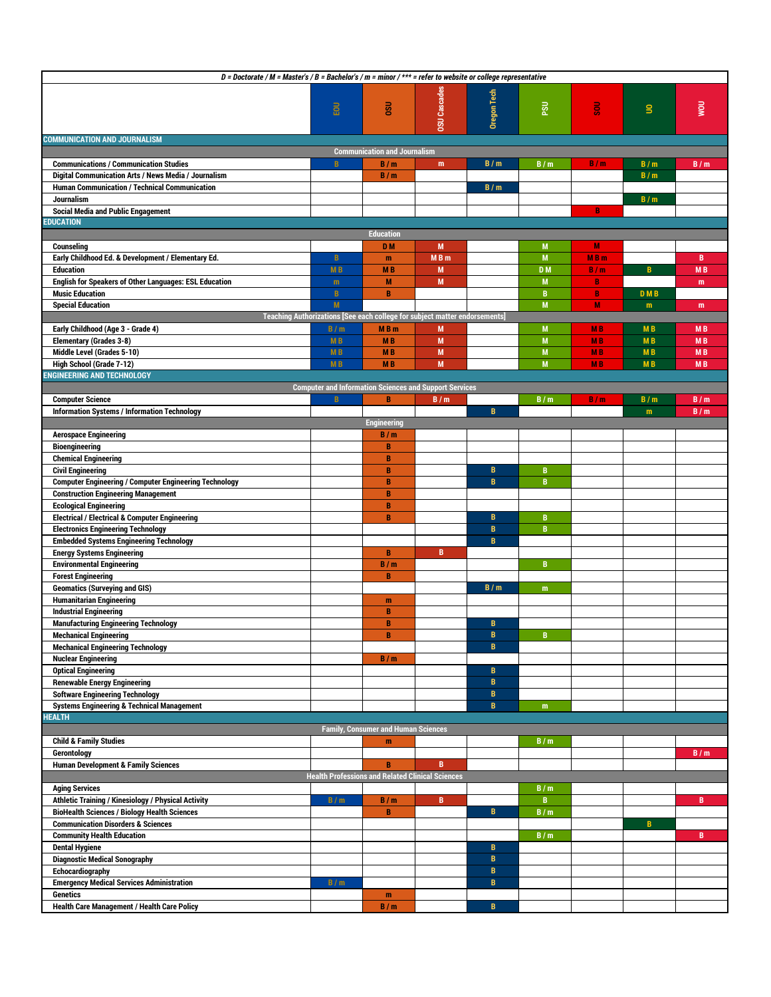| D = Doctorate / M = Master's / B = Bachelor's / m = minor / *** = refer to website or college representative |                                                         |                                            |                                                                            |              |                        |                |                |           |
|--------------------------------------------------------------------------------------------------------------|---------------------------------------------------------|--------------------------------------------|----------------------------------------------------------------------------|--------------|------------------------|----------------|----------------|-----------|
|                                                                                                              |                                                         |                                            |                                                                            |              |                        |                |                |           |
|                                                                                                              |                                                         |                                            |                                                                            | Oregon Tech  |                        |                |                |           |
|                                                                                                              | EOU                                                     | <b>USO</b>                                 |                                                                            |              | $\overline{\text{ss}}$ | នី             | s              | Now       |
|                                                                                                              |                                                         |                                            |                                                                            |              |                        |                |                |           |
|                                                                                                              |                                                         |                                            | <b>OSU</b> Cascades                                                        |              |                        |                |                |           |
| <b>COMMUNICATION AND JOURNALISM</b>                                                                          |                                                         |                                            |                                                                            |              |                        |                |                |           |
| <b>Communication and Journalism</b>                                                                          |                                                         |                                            |                                                                            |              |                        |                |                |           |
|                                                                                                              | B                                                       |                                            |                                                                            | B/m          |                        | B/m            |                |           |
| <b>Communications / Communication Studies</b>                                                                |                                                         | B/m                                        | m                                                                          |              | B/m                    |                | B/m            | B/m       |
| Digital Communication Arts / News Media / Journalism                                                         |                                                         | B/m                                        |                                                                            |              |                        |                | B/m            |           |
| Human Communication / Technical Communication                                                                |                                                         |                                            |                                                                            | B/m          |                        |                |                |           |
| Journalism                                                                                                   |                                                         |                                            |                                                                            |              |                        |                | B/m            |           |
| <b>Social Media and Public Engagement</b>                                                                    |                                                         |                                            |                                                                            |              |                        | B              |                |           |
| <b>EDUCATION</b>                                                                                             |                                                         |                                            |                                                                            |              |                        |                |                |           |
|                                                                                                              |                                                         | <b>Education</b>                           |                                                                            |              |                        |                |                |           |
| Counseling                                                                                                   |                                                         | D <sub>M</sub>                             | M                                                                          |              | M                      | M              |                |           |
| Early Childhood Ed. & Development / Elementary Ed.                                                           | $\mathbf{B}$                                            | m                                          | MB <sub>m</sub>                                                            |              | M                      | <b>MBm</b>     |                | B         |
|                                                                                                              |                                                         |                                            |                                                                            |              |                        |                |                |           |
| <b>Education</b>                                                                                             | M <sub>B</sub>                                          | <b>MB</b>                                  | M                                                                          |              | D <sub>M</sub>         | B/m            | B              | <b>MB</b> |
| <b>English for Speakers of Other Languages: ESL Education</b>                                                | m                                                       | M                                          | M                                                                          |              | M                      | B              |                | m         |
| <b>Music Education</b>                                                                                       | $\overline{\mathsf{B}}$                                 | B                                          |                                                                            |              | B                      | $\overline{B}$ | <b>DMB</b>     |           |
| <b>Special Education</b>                                                                                     | M                                                       |                                            |                                                                            |              | M                      | M              | m              | m         |
|                                                                                                              |                                                         |                                            | Teaching Authorizations [See each college for subject matter endorsements] |              |                        |                |                |           |
| Early Childhood (Age 3 - Grade 4)                                                                            | B/m                                                     | <b>MB</b> m                                | M                                                                          |              | M                      | <b>MB</b>      | M <sub>B</sub> | <b>MB</b> |
| <b>Elementary (Grades 3-8)</b>                                                                               | <b>MB</b>                                               | <b>MB</b>                                  | M                                                                          |              | M                      | <b>MB</b>      | M <sub>B</sub> | <b>MB</b> |
| Middle Level (Grades 5-10)                                                                                   |                                                         |                                            |                                                                            |              | M                      |                |                |           |
|                                                                                                              | <b>MB</b>                                               | <b>MB</b>                                  | M                                                                          |              |                        | <b>MB</b>      | <b>MB</b>      | <b>MB</b> |
| High School (Grade 7-12)                                                                                     | <b>MB</b>                                               | <b>MB</b>                                  | M                                                                          |              | M                      | <b>MB</b>      | <b>MB</b>      | <b>MB</b> |
| <b>ENGINEERING AND TECHNOLOGY</b>                                                                            |                                                         |                                            |                                                                            |              |                        |                |                |           |
|                                                                                                              |                                                         |                                            | <b>Computer and Information Sciences and Support Services</b>              |              |                        |                |                |           |
| <b>Computer Science</b>                                                                                      | $\mathbf{B}$                                            | B                                          | B/m                                                                        |              | B/m                    | B/m            | B/m            | B/m       |
| <b>Information Systems / Information Technology</b>                                                          |                                                         |                                            |                                                                            | B            |                        |                | m              | B/m       |
|                                                                                                              |                                                         | <b>Engineering</b>                         |                                                                            |              |                        |                |                |           |
| <b>Aerospace Engineering</b>                                                                                 |                                                         | B/m                                        |                                                                            |              |                        |                |                |           |
| <b>Bioengineering</b>                                                                                        |                                                         | B                                          |                                                                            |              |                        |                |                |           |
|                                                                                                              |                                                         |                                            |                                                                            |              |                        |                |                |           |
| <b>Chemical Engineering</b>                                                                                  |                                                         | B                                          |                                                                            |              |                        |                |                |           |
| <b>Civil Engineering</b>                                                                                     |                                                         | B                                          |                                                                            | B            | $\mathbf{B}$           |                |                |           |
| <b>Computer Engineering / Computer Engineering Technology</b>                                                |                                                         | B                                          |                                                                            | $\mathbf{B}$ | B                      |                |                |           |
| <b>Construction Engineering Management</b>                                                                   |                                                         | B                                          |                                                                            |              |                        |                |                |           |
| <b>Ecological Engineering</b>                                                                                |                                                         | B                                          |                                                                            |              |                        |                |                |           |
| <b>Electrical / Electrical &amp; Computer Engineering</b>                                                    |                                                         | $\, {\bf B}$                               |                                                                            | B            | B                      |                |                |           |
| <b>Electronics Engineering Technology</b>                                                                    |                                                         |                                            |                                                                            | $\, {\bf B}$ | B                      |                |                |           |
| <b>Embedded Systems Engineering Technology</b>                                                               |                                                         |                                            |                                                                            | B            |                        |                |                |           |
| <b>Energy Systems Engineering</b>                                                                            |                                                         | B                                          | B                                                                          |              |                        |                |                |           |
| <b>Environmental Engineering</b>                                                                             |                                                         | B/m                                        |                                                                            |              | B                      |                |                |           |
|                                                                                                              |                                                         |                                            |                                                                            |              |                        |                |                |           |
| <b>Forest Engineering</b>                                                                                    |                                                         | B                                          |                                                                            |              |                        |                |                |           |
| <b>Geomatics (Surveying and GIS)</b>                                                                         |                                                         |                                            |                                                                            | B/m          | m                      |                |                |           |
| <b>Humanitarian Engineering</b>                                                                              |                                                         | m                                          |                                                                            |              |                        |                |                |           |
| <b>Industrial Engineering</b>                                                                                |                                                         | B                                          |                                                                            |              |                        |                |                |           |
| <b>Manufacturing Engineering Technology</b>                                                                  |                                                         | B                                          |                                                                            | B            |                        |                |                |           |
| <b>Mechanical Engineering</b>                                                                                |                                                         |                                            |                                                                            | B            |                        |                |                |           |
| <b>Mechanical Engineering Technology</b>                                                                     |                                                         |                                            |                                                                            | B            |                        |                |                |           |
| <b>Nuclear Engineering</b>                                                                                   |                                                         | B/m                                        |                                                                            |              |                        |                |                |           |
|                                                                                                              |                                                         |                                            |                                                                            |              |                        |                |                |           |
| <b>Optical Engineering</b>                                                                                   |                                                         |                                            |                                                                            | $\mathbf{B}$ |                        |                |                |           |
| <b>Renewable Energy Engineering</b>                                                                          |                                                         |                                            |                                                                            | $\, {\bf B}$ |                        |                |                |           |
| <b>Software Engineering Technology</b>                                                                       |                                                         |                                            |                                                                            | $\, {\bf B}$ |                        |                |                |           |
| <b>Systems Engineering &amp; Technical Management</b>                                                        |                                                         |                                            |                                                                            | B            | m                      |                |                |           |
| <b>HEALTH</b>                                                                                                |                                                         |                                            |                                                                            |              |                        |                |                |           |
|                                                                                                              |                                                         | <b>Family, Consumer and Human Sciences</b> |                                                                            |              |                        |                |                |           |
| <b>Child &amp; Family Studies</b>                                                                            |                                                         | m                                          |                                                                            |              | B/m                    |                |                |           |
| Gerontology                                                                                                  |                                                         |                                            |                                                                            |              |                        |                |                | B/m       |
| <b>Human Development &amp; Family Sciences</b>                                                               |                                                         | B                                          | B                                                                          |              |                        |                |                |           |
|                                                                                                              | <b>Health Professions and Related Clinical Sciences</b> |                                            |                                                                            |              |                        |                |                |           |
|                                                                                                              |                                                         |                                            |                                                                            |              |                        |                |                |           |
| <b>Aging Services</b>                                                                                        |                                                         |                                            |                                                                            |              | B/m                    |                |                |           |
| Athletic Training / Kinesiology / Physical Activity                                                          | B/m                                                     | B/m                                        | B                                                                          |              | B                      |                |                | B         |
| <b>BioHealth Sciences / Biology Health Sciences</b>                                                          |                                                         | $\, {\bf B}$                               |                                                                            | B            | B/m                    |                |                |           |
| <b>Communication Disorders &amp; Sciences</b>                                                                |                                                         |                                            |                                                                            |              |                        |                | B              |           |
| <b>Community Health Education</b>                                                                            |                                                         |                                            |                                                                            |              | B/m                    |                |                | B         |
| <b>Dental Hygiene</b>                                                                                        |                                                         |                                            |                                                                            | B            |                        |                |                |           |
| <b>Diagnostic Medical Sonography</b>                                                                         |                                                         |                                            |                                                                            | $\mathbf{B}$ |                        |                |                |           |
| Echocardiography                                                                                             |                                                         |                                            |                                                                            | B            |                        |                |                |           |
| <b>Emergency Medical Services Administration</b>                                                             |                                                         |                                            |                                                                            | $\, {\bf B}$ |                        |                |                |           |
|                                                                                                              | B/m                                                     |                                            |                                                                            |              |                        |                |                |           |
| <b>Genetics</b>                                                                                              |                                                         | m                                          |                                                                            |              |                        |                |                |           |
| <b>Health Care Management / Health Care Policy</b>                                                           |                                                         | B/m                                        |                                                                            | B            |                        |                |                |           |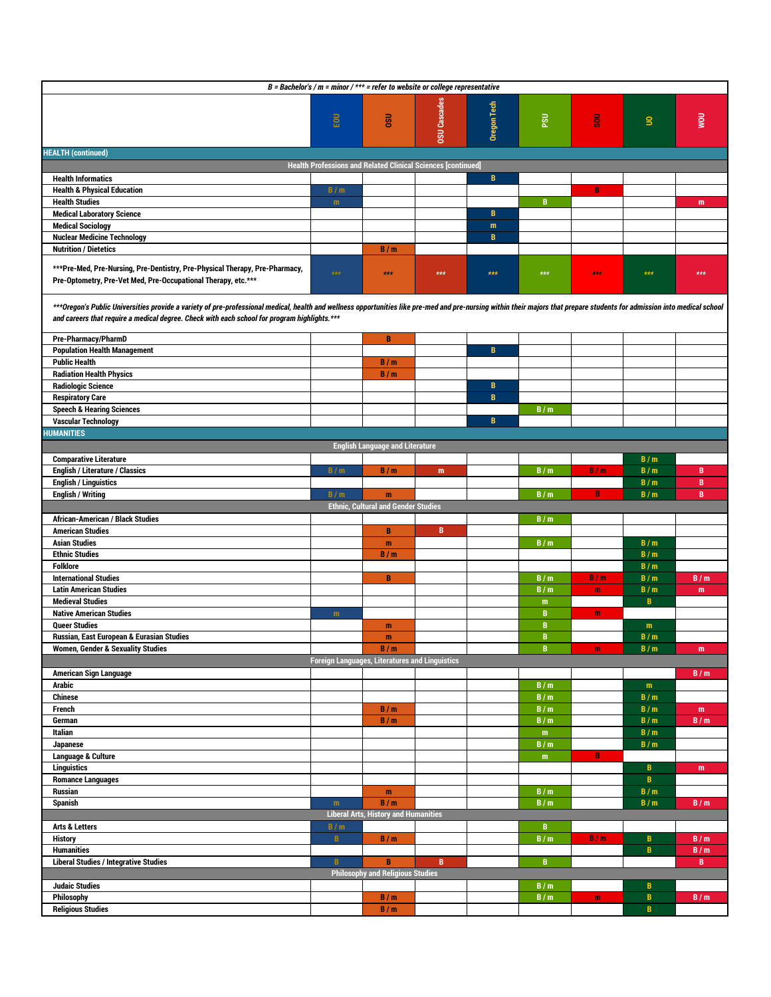| B = Bachelor's / $m$ = minor / *** = refer to website or college representative                                                                                                                                           |                                                       |                                             |                     |              |                  |                   |                              |            |
|---------------------------------------------------------------------------------------------------------------------------------------------------------------------------------------------------------------------------|-------------------------------------------------------|---------------------------------------------|---------------------|--------------|------------------|-------------------|------------------------------|------------|
|                                                                                                                                                                                                                           |                                                       |                                             |                     |              |                  |                   |                              |            |
|                                                                                                                                                                                                                           |                                                       |                                             |                     |              |                  |                   |                              |            |
|                                                                                                                                                                                                                           | <b>FOU</b>                                            | $\frac{1}{6}$                               |                     | Oregon Tech  | $\overline{5}$   | ន្ល               | $\mathbf{S}$                 | <b>UOW</b> |
|                                                                                                                                                                                                                           |                                                       |                                             | <b>OSU</b> Cascades |              |                  |                   |                              |            |
| <b>HEALTH (continued)</b>                                                                                                                                                                                                 |                                                       |                                             |                     |              |                  |                   |                              |            |
| <b>Health Professions and Related Clinical Sciences [continued]</b>                                                                                                                                                       |                                                       |                                             |                     |              |                  |                   |                              |            |
| <b>Health Informatics</b>                                                                                                                                                                                                 |                                                       |                                             |                     | $\mathbf B$  |                  |                   |                              |            |
| <b>Health &amp; Physical Education</b>                                                                                                                                                                                    | B/m                                                   |                                             |                     |              |                  | $\mathbf{B}$      |                              |            |
| <b>Health Studies</b>                                                                                                                                                                                                     | m                                                     |                                             |                     |              | $\, {\bf B} \,$  |                   |                              | m          |
| <b>Medical Laboratory Science</b>                                                                                                                                                                                         |                                                       |                                             |                     | В            |                  |                   |                              |            |
| <b>Medical Sociology</b>                                                                                                                                                                                                  |                                                       |                                             |                     | m            |                  |                   |                              |            |
| <b>Nuclear Medicine Technology</b><br><b>Nutrition / Dietetics</b>                                                                                                                                                        |                                                       |                                             |                     | B            |                  |                   |                              |            |
|                                                                                                                                                                                                                           |                                                       | B/m                                         |                     |              |                  |                   |                              |            |
| ***Pre-Med, Pre-Nursing, Pre-Dentistry, Pre-Physical Therapy, Pre-Pharmacy,                                                                                                                                               | $***$                                                 | $***$                                       | $***$               | $***$        | $***$            | $\star\star\star$ | $***$                        | $***$      |
| Pre-Optometry, Pre-Vet Med, Pre-Occupational Therapy, etc.***                                                                                                                                                             |                                                       |                                             |                     |              |                  |                   |                              |            |
|                                                                                                                                                                                                                           |                                                       |                                             |                     |              |                  |                   |                              |            |
| ***Oregon's Public Universities provide a variety of pre-professional medical, health and wellness opportunities like pre-med and pre-nursing within their majors that prepare students for admission into medical school |                                                       |                                             |                     |              |                  |                   |                              |            |
| and careers that require a medical degree. Check with each school for program highlights.***                                                                                                                              |                                                       |                                             |                     |              |                  |                   |                              |            |
| Pre-Pharmacy/PharmD                                                                                                                                                                                                       |                                                       | B                                           |                     |              |                  |                   |                              |            |
| <b>Population Health Management</b>                                                                                                                                                                                       |                                                       |                                             |                     | B            |                  |                   |                              |            |
| <b>Public Health</b>                                                                                                                                                                                                      |                                                       | B/m                                         |                     |              |                  |                   |                              |            |
| <b>Radiation Health Physics</b>                                                                                                                                                                                           |                                                       | B/m                                         |                     |              |                  |                   |                              |            |
| <b>Radiologic Science</b>                                                                                                                                                                                                 |                                                       |                                             |                     | B            |                  |                   |                              |            |
| <b>Respiratory Care</b>                                                                                                                                                                                                   |                                                       |                                             |                     | $\mathbf B$  |                  |                   |                              |            |
| <b>Speech &amp; Hearing Sciences</b>                                                                                                                                                                                      |                                                       |                                             |                     |              | B/m              |                   |                              |            |
| <b>Vascular Technology</b><br><b>HUMANITIES</b>                                                                                                                                                                           |                                                       |                                             |                     | $\mathbf{B}$ |                  |                   |                              |            |
|                                                                                                                                                                                                                           |                                                       | <b>English Language and Literature</b>      |                     |              |                  |                   |                              |            |
| <b>Comparative Literature</b>                                                                                                                                                                                             |                                                       |                                             |                     |              |                  |                   | B/m                          |            |
| <b>English / Literature / Classics</b>                                                                                                                                                                                    | B/m                                                   | B/m                                         | m                   |              | B/m              | B/m               | B/m                          | B          |
| <b>English / Linguistics</b>                                                                                                                                                                                              |                                                       |                                             |                     |              |                  |                   | B/m                          | B          |
| <b>English / Writing</b>                                                                                                                                                                                                  | B/m                                                   | m                                           |                     |              | B/m              | B                 | B/m                          | B          |
| <b>Ethnic, Cultural and Gender Studies</b>                                                                                                                                                                                |                                                       |                                             |                     |              |                  |                   |                              |            |
|                                                                                                                                                                                                                           |                                                       |                                             |                     |              |                  |                   |                              |            |
| <b>African-American / Black Studies</b>                                                                                                                                                                                   |                                                       |                                             |                     |              | B/m              |                   |                              |            |
| <b>American Studies</b>                                                                                                                                                                                                   |                                                       | B                                           | B                   |              |                  |                   |                              |            |
| <b>Asian Studies</b>                                                                                                                                                                                                      |                                                       | m                                           |                     |              | B/m              |                   | B/m                          |            |
| <b>Ethnic Studies</b>                                                                                                                                                                                                     |                                                       | B/m                                         |                     |              |                  |                   | B/m                          |            |
| <b>Folklore</b>                                                                                                                                                                                                           |                                                       |                                             |                     |              |                  |                   | B/m                          |            |
| <b>International Studies</b>                                                                                                                                                                                              |                                                       | В                                           |                     |              | B/m              | B/m               | B/m                          | B/m        |
| <b>Latin American Studies</b>                                                                                                                                                                                             |                                                       |                                             |                     |              | B/m              | $\mathbf{m}$      | B/m                          | m          |
| <b>Medieval Studies</b><br><b>Native American Studies</b>                                                                                                                                                                 | m                                                     |                                             |                     |              | m<br>$\mathbf B$ | m                 | $\mathbf{B}$                 |            |
| <b>Queer Studies</b>                                                                                                                                                                                                      |                                                       | m                                           |                     |              | B                |                   | m                            |            |
| <b>Russian, East European &amp; Eurasian Studies</b>                                                                                                                                                                      |                                                       | m                                           |                     |              | B                |                   | B/m                          |            |
| <b>Women, Gender &amp; Sexuality Studies</b>                                                                                                                                                                              |                                                       | B/m                                         |                     |              | B                | $\mathbf{m}$      | B/m                          | m          |
|                                                                                                                                                                                                                           | <b>Foreign Languages, Literatures and Linguistics</b> |                                             |                     |              |                  |                   |                              |            |
| American Sign Language                                                                                                                                                                                                    |                                                       |                                             |                     |              |                  |                   |                              | B/m        |
| Arabic                                                                                                                                                                                                                    |                                                       |                                             |                     |              | B/m              |                   | m                            |            |
| <b>Chinese</b>                                                                                                                                                                                                            |                                                       |                                             |                     |              | B/m              |                   | B/m                          |            |
| French<br>German                                                                                                                                                                                                          |                                                       | B/m                                         |                     |              | B/m              |                   | B/m<br>B/m                   | m          |
| Italian                                                                                                                                                                                                                   |                                                       | B/m                                         |                     |              | B/m<br>${\bf m}$ |                   | B/m                          | B/m        |
| Japanese                                                                                                                                                                                                                  |                                                       |                                             |                     |              | B/m              |                   | B/m                          |            |
| Language & Culture                                                                                                                                                                                                        |                                                       |                                             |                     |              | m                | В                 |                              |            |
| <b>Linguistics</b>                                                                                                                                                                                                        |                                                       |                                             |                     |              |                  |                   | B                            | m          |
| <b>Romance Languages</b>                                                                                                                                                                                                  |                                                       |                                             |                     |              |                  |                   | $\overline{\mathsf{B}}$      |            |
| Russian                                                                                                                                                                                                                   |                                                       | m                                           |                     |              | B/m              |                   | B/m                          |            |
| Spanish                                                                                                                                                                                                                   | m                                                     | B/m                                         |                     |              | B/m              |                   | B/m                          | B/m        |
| <b>Arts &amp; Letters</b>                                                                                                                                                                                                 |                                                       | <b>Liberal Arts, History and Humanities</b> |                     |              | B                |                   |                              |            |
| <b>History</b>                                                                                                                                                                                                            | B/m<br>B                                              | B/m                                         |                     |              | B/m              | B/m               | B                            | B/m        |
| <b>Humanities</b>                                                                                                                                                                                                         |                                                       |                                             |                     |              |                  |                   | $\overline{\mathsf{B}}$      | B/m        |
| <b>Liberal Studies / Integrative Studies</b>                                                                                                                                                                              | $\mathbf{B}$                                          | B                                           | B                   |              | B                |                   |                              | B          |
|                                                                                                                                                                                                                           |                                                       | <b>Philosophy and Religious Studies</b>     |                     |              |                  |                   |                              |            |
| <b>Judaic Studies</b>                                                                                                                                                                                                     |                                                       |                                             |                     |              | B/m              |                   | B                            |            |
| Philosophy<br><b>Religious Studies</b>                                                                                                                                                                                    |                                                       | B/m<br>B/m                                  |                     |              | B/m              | $\mathbf{m}$      | $\, {\bf B}$<br>$\mathbf{B}$ | B/m        |